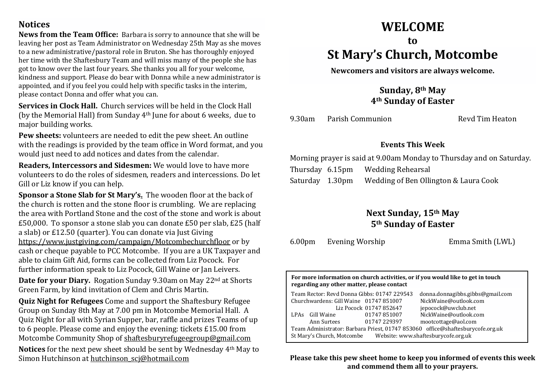## **Notices**

**News from the Team Office:** Barbara is sorry to announce that she will be leaving her post as Team Administrator on Wednesday 25th May as she moves to a new administrative/pastoral role in Bruton. She has thoroughly enjoyed her time with the Shaftesbury Team and will miss many of the people she has got to know over the last four years. She thanks you all for your welcome, kindness and support. Please do bear with Donna while a new administrator is appointed, and if you feel you could help with specific tasks in the interim, please contact Donna and offer what you can.

**Services in Clock Hall.** Church services will be held in the Clock Hall (by the Memorial Hall) from Sunday 4th June for about 6 weeks, due to major building works.

**Pew sheets:** volunteers are needed to edit the pew sheet. An outline with the readings is provided by the team office in Word format, and you would just need to add notices and dates from the calendar.

**Readers, Intercessors and Sidesmen:** We would love to have more volunteers to do the roles of sidesmen, readers and intercessions. Do let Gill or Liz know if you can help.

**Sponsor a Stone Slab for St Mary's.** The wooden floor at the back of the church is rotten and the stone floor is crumbling. We are replacing the area with Portland Stone and the cost of the stone and work is about £50,000. To sponsor a stone slab you can donate £50 per slab, £25 (half a slab) or £12.50 (quarter). You can donate via Just Giving <https://www.justgiving.com/campaign/Motcombechurchfloor> or by cash or cheque payable to PCC Motcombe. If you are a UK Taxpayer and able to claim Gift Aid, forms can be collected from Liz Pocock. For further information speak to Liz Pocock, Gill Waine or Jan Leivers.

**Date for your Diary.** Rogation Sunday 9.30am on May 22nd at Shorts Green Farm, by kind invitation of Clem and Chris Martin.

**Quiz Night for Refugees** Come and support the Shaftesbury Refugee Group on Sunday 8th May at 7.00 pm in Motcombe Memorial Hall. A Quiz Night for all with Syrian Supper, bar, raffle and prizes Teams of up to 6 people. Please come and enjoy the evening: tickets £15.00 from Motcombe Community Shop of [shaftesburyrefugeegroup@gmail.com](mailto:shaftesburyrefugeegroup@gmail.com)

**Notices** for the next pew sheet should be sent by Wednesday 4th May to Simon Hutchinson at hutchinson sci@hotmail.com

# **WELCOME**

# **to St Mary's Church, Motcombe**

**Newcomers and visitors are always welcome.**

**Sunday, 8th May 4th Sunday of Easter**

9.30am Parish Communion Revd Tim Heaton

### **Events This Week**

Morning prayer is said at 9.00am Monday to Thursday and on Saturday. Thursday 6.15pm Wedding Rehearsal Saturday 1.30pm Wedding of Ben Ollington & Laura Cook

## **Next Sunday, 15th May 5th Sunday of Easter**

6.00pm Evening Worship Emma Smith (LWL)

**For more information on church activities, or if you would like to get in touch regarding any other matter, please contact**

| Team Rector: Revd Donna Gibbs: 01747 229543                                    |             |                         | donna.donnagibbs.gibbs@gmail.com |
|--------------------------------------------------------------------------------|-------------|-------------------------|----------------------------------|
| Churchwardens: Gill Waine 01747 851007                                         |             |                         | NickWaine@outlook.com            |
|                                                                                |             | Liz Pocock 01747 852647 | jepocock@uwclub.net              |
| LPAs                                                                           | Gill Waine  | 01747851007             | NickWaine@outlook.com            |
|                                                                                | Ann Surtees | 01747 229397            | mootcottage@aol.com              |
| Team Administrator: Barbara Priest, 01747 853060 office@shaftesburycofe.org.uk |             |                         |                                  |
| Website: www.shaftesburycofe.org.uk<br>St Mary's Church, Motcombe              |             |                         |                                  |

**Please take this pew sheet home to keep you informed of events this week and commend them all to your prayers.**